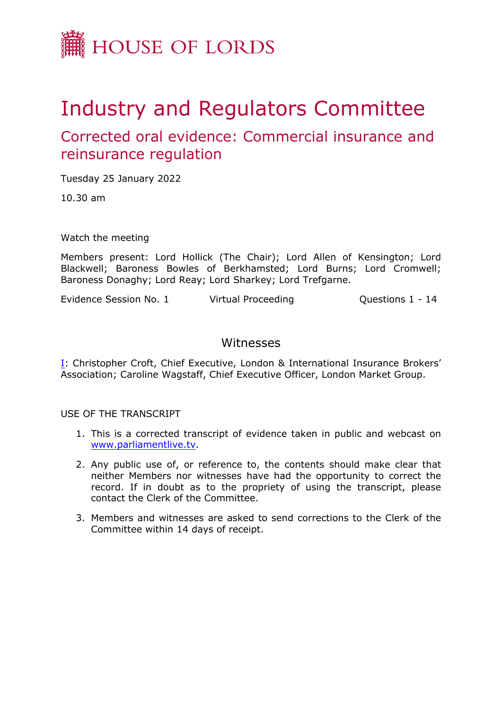

# Industry and Regulators Committee

# Corrected oral evidence: Commercial insurance and reinsurance regulation

Tuesday 25 January 2022

10.30 am

Watch the meeting

Members present: Lord Hollick (The Chair); Lord Allen of Kensington; Lord Blackwell; Baroness Bowles of Berkhamsted; Lord Burns; Lord Cromwell; Baroness Donaghy; Lord Reay; Lord Sharkey; Lord Trefgarne.

Evidence Session No. 1 Virtual Proceeding Cuestions 1 - 14

## Witnesses

[I:](#page-1-0) Christopher Croft, Chief Executive, London & International Insurance Brokers' Association; Caroline Wagstaff, Chief Executive Officer, London Market Group.

USE OF THE TRANSCRIPT

- 1. This is a corrected transcript of evidence taken in public and webcast on [www.parliamentlive.tv](http://www.parliamentlive.tv/).
- 2. Any public use of, or reference to, the contents should make clear that neither Members nor witnesses have had the opportunity to correct the record. If in doubt as to the propriety of using the transcript, please contact the Clerk of the Committee.
- 3. Members and witnesses are asked to send corrections to the Clerk of the Committee within 14 days of receipt.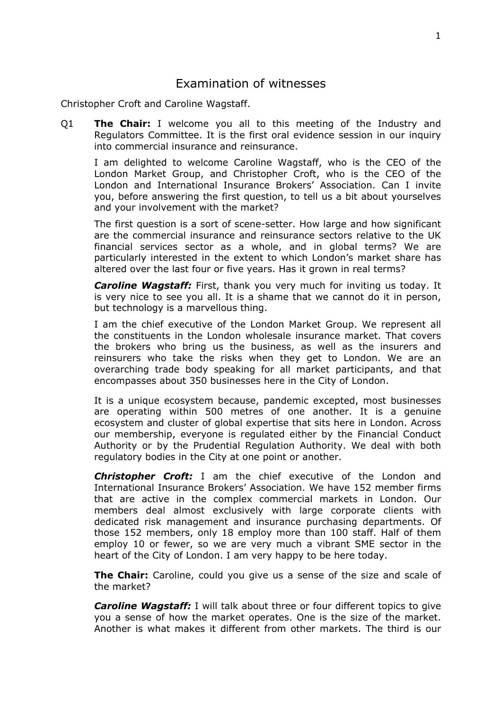### <span id="page-1-0"></span>Examination of witnesses

Christopher Croft and Caroline Wagstaff.

Q1 **The Chair:** I welcome you all to this meeting of the Industry and Regulators Committee. It is the first oral evidence session in our inquiry into commercial insurance and reinsurance.

I am delighted to welcome Caroline Wagstaff, who is the CEO of the London Market Group, and Christopher Croft, who is the CEO of the London and International Insurance Brokers' Association. Can I invite you, before answering the first question, to tell us a bit about yourselves and your involvement with the market?

The first question is a sort of scene-setter. How large and how significant are the commercial insurance and reinsurance sectors relative to the UK financial services sector as a whole, and in global terms? We are particularly interested in the extent to which London's market share has altered over the last four or five years. Has it grown in real terms?

*Caroline Wagstaff:* First, thank you very much for inviting us today. It is very nice to see you all. It is a shame that we cannot do it in person, but technology is a marvellous thing.

I am the chief executive of the London Market Group. We represent all the constituents in the London wholesale insurance market. That covers the brokers who bring us the business, as well as the insurers and reinsurers who take the risks when they get to London. We are an overarching trade body speaking for all market participants, and that encompasses about 350 businesses here in the City of London.

It is a unique ecosystem because, pandemic excepted, most businesses are operating within 500 metres of one another. It is a genuine ecosystem and cluster of global expertise that sits here in London. Across our membership, everyone is regulated either by the Financial Conduct Authority or by the Prudential Regulation Authority. We deal with both regulatory bodies in the City at one point or another.

*Christopher Croft:* I am the chief executive of the London and International Insurance Brokers' Association. We have 152 member firms that are active in the complex commercial markets in London. Our members deal almost exclusively with large corporate clients with dedicated risk management and insurance purchasing departments. Of those 152 members, only 18 employ more than 100 staff. Half of them employ 10 or fewer, so we are very much a vibrant SME sector in the heart of the City of London. I am very happy to be here today.

**The Chair:** Caroline, could you give us a sense of the size and scale of the market?

*Caroline Wagstaff:* I will talk about three or four different topics to give you a sense of how the market operates. One is the size of the market. Another is what makes it different from other markets. The third is our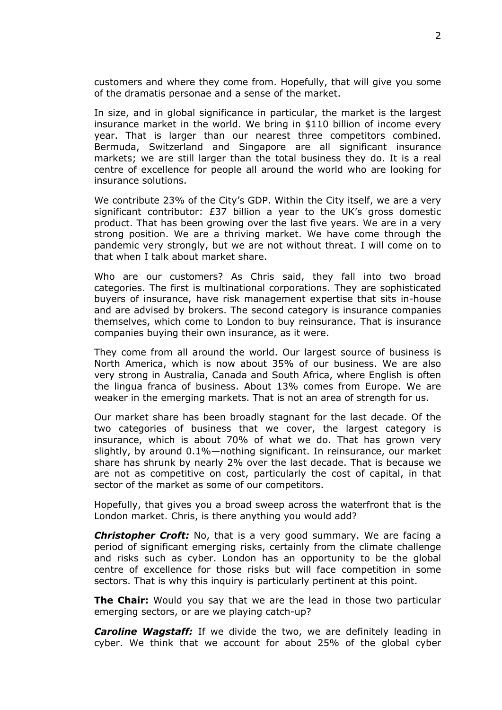customers and where they come from. Hopefully, that will give you some of the dramatis personae and a sense of the market.

In size, and in global significance in particular, the market is the largest insurance market in the world. We bring in \$110 billion of income every year. That is larger than our nearest three competitors combined. Bermuda, Switzerland and Singapore are all significant insurance markets; we are still larger than the total business they do. It is a real centre of excellence for people all around the world who are looking for insurance solutions.

We contribute 23% of the City's GDP. Within the City itself, we are a very significant contributor: £37 billion a year to the UK's gross domestic product. That has been growing over the last five years. We are in a very strong position. We are a thriving market. We have come through the pandemic very strongly, but we are not without threat. I will come on to that when I talk about market share.

Who are our customers? As Chris said, they fall into two broad categories. The first is multinational corporations. They are sophisticated buyers of insurance, have risk management expertise that sits in-house and are advised by brokers. The second category is insurance companies themselves, which come to London to buy reinsurance. That is insurance companies buying their own insurance, as it were.

They come from all around the world. Our largest source of business is North America, which is now about 35% of our business. We are also very strong in Australia, Canada and South Africa, where English is often the lingua franca of business. About 13% comes from Europe. We are weaker in the emerging markets. That is not an area of strength for us.

Our market share has been broadly stagnant for the last decade. Of the two categories of business that we cover, the largest category is insurance, which is about 70% of what we do. That has grown very slightly, by around 0.1%—nothing significant. In reinsurance, our market share has shrunk by nearly 2% over the last decade. That is because we are not as competitive on cost, particularly the cost of capital, in that sector of the market as some of our competitors.

Hopefully, that gives you a broad sweep across the waterfront that is the London market. Chris, is there anything you would add?

*Christopher Croft:* No, that is a very good summary. We are facing a period of significant emerging risks, certainly from the climate challenge and risks such as cyber. London has an opportunity to be the global centre of excellence for those risks but will face competition in some sectors. That is why this inquiry is particularly pertinent at this point.

**The Chair:** Would you say that we are the lead in those two particular emerging sectors, or are we playing catch-up?

*Caroline Wagstaff:* If we divide the two, we are definitely leading in cyber. We think that we account for about 25% of the global cyber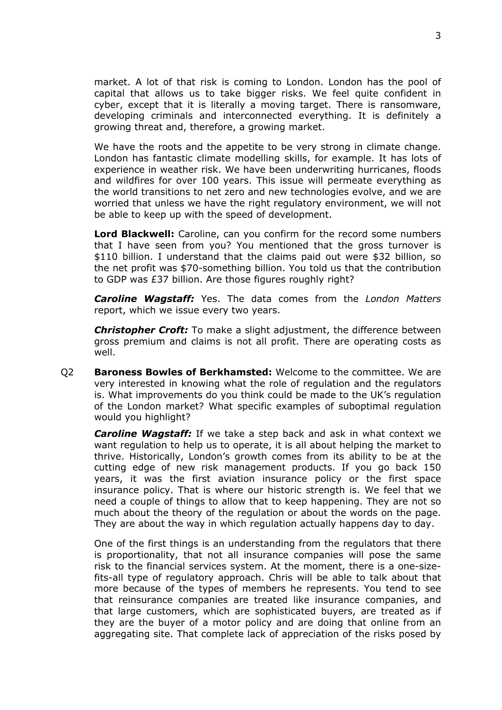market. A lot of that risk is coming to London. London has the pool of capital that allows us to take bigger risks. We feel quite confident in cyber, except that it is literally a moving target. There is ransomware, developing criminals and interconnected everything. It is definitely a growing threat and, therefore, a growing market.

We have the roots and the appetite to be very strong in climate change. London has fantastic climate modelling skills, for example. It has lots of experience in weather risk. We have been underwriting hurricanes, floods and wildfires for over 100 years. This issue will permeate everything as the world transitions to net zero and new technologies evolve, and we are worried that unless we have the right regulatory environment, we will not be able to keep up with the speed of development.

**Lord Blackwell:** Caroline, can you confirm for the record some numbers that I have seen from you? You mentioned that the gross turnover is \$110 billion. I understand that the claims paid out were \$32 billion, so the net profit was \$70-something billion. You told us that the contribution to GDP was £37 billion. Are those figures roughly right?

*Caroline Wagstaff:* Yes. The data comes from the *London Matters* report, which we issue every two years.

*Christopher Croft:* To make a slight adjustment, the difference between gross premium and claims is not all profit. There are operating costs as well.

Q2 **Baroness Bowles of Berkhamsted:** Welcome to the committee. We are very interested in knowing what the role of regulation and the regulators is. What improvements do you think could be made to the UK's regulation of the London market? What specific examples of suboptimal regulation would you highlight?

*Caroline Wagstaff:* If we take a step back and ask in what context we want regulation to help us to operate, it is all about helping the market to thrive. Historically, London's growth comes from its ability to be at the cutting edge of new risk management products. If you go back 150 years, it was the first aviation insurance policy or the first space insurance policy. That is where our historic strength is. We feel that we need a couple of things to allow that to keep happening. They are not so much about the theory of the regulation or about the words on the page. They are about the way in which regulation actually happens day to day.

One of the first things is an understanding from the regulators that there is proportionality, that not all insurance companies will pose the same risk to the financial services system. At the moment, there is a one-sizefits-all type of regulatory approach. Chris will be able to talk about that more because of the types of members he represents. You tend to see that reinsurance companies are treated like insurance companies, and that large customers, which are sophisticated buyers, are treated as if they are the buyer of a motor policy and are doing that online from an aggregating site. That complete lack of appreciation of the risks posed by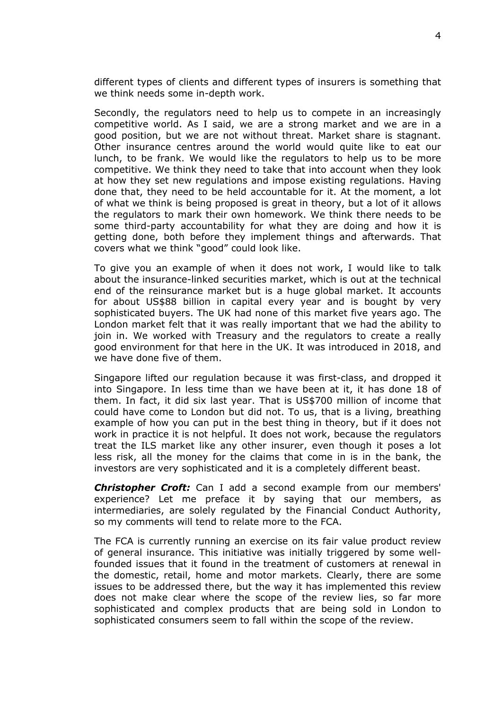different types of clients and different types of insurers is something that we think needs some in-depth work.

Secondly, the regulators need to help us to compete in an increasingly competitive world. As I said, we are a strong market and we are in a good position, but we are not without threat. Market share is stagnant. Other insurance centres around the world would quite like to eat our lunch, to be frank. We would like the regulators to help us to be more competitive. We think they need to take that into account when they look at how they set new regulations and impose existing regulations. Having done that, they need to be held accountable for it. At the moment, a lot of what we think is being proposed is great in theory, but a lot of it allows the regulators to mark their own homework. We think there needs to be some third-party accountability for what they are doing and how it is getting done, both before they implement things and afterwards. That covers what we think "good" could look like.

To give you an example of when it does not work, I would like to talk about the insurance-linked securities market, which is out at the technical end of the reinsurance market but is a huge global market. It accounts for about US\$88 billion in capital every year and is bought by very sophisticated buyers. The UK had none of this market five years ago. The London market felt that it was really important that we had the ability to join in. We worked with Treasury and the regulators to create a really good environment for that here in the UK. It was introduced in 2018, and we have done five of them.

Singapore lifted our regulation because it was first-class, and dropped it into Singapore. In less time than we have been at it, it has done 18 of them. In fact, it did six last year. That is US\$700 million of income that could have come to London but did not. To us, that is a living, breathing example of how you can put in the best thing in theory, but if it does not work in practice it is not helpful. It does not work, because the regulators treat the ILS market like any other insurer, even though it poses a lot less risk, all the money for the claims that come in is in the bank, the investors are very sophisticated and it is a completely different beast.

*Christopher Croft:* Can I add a second example from our members' experience? Let me preface it by saying that our members, as intermediaries, are solely regulated by the Financial Conduct Authority, so my comments will tend to relate more to the FCA.

The FCA is currently running an exercise on its fair value product review of general insurance. This initiative was initially triggered by some wellfounded issues that it found in the treatment of customers at renewal in the domestic, retail, home and motor markets. Clearly, there are some issues to be addressed there, but the way it has implemented this review does not make clear where the scope of the review lies, so far more sophisticated and complex products that are being sold in London to sophisticated consumers seem to fall within the scope of the review.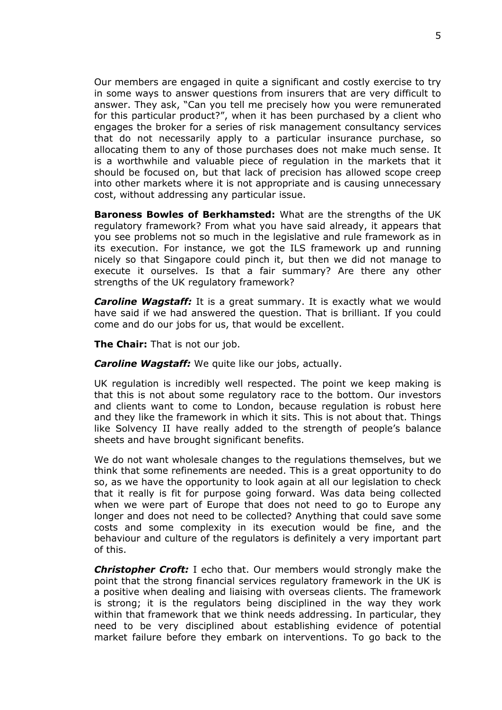Our members are engaged in quite a significant and costly exercise to try in some ways to answer questions from insurers that are very difficult to answer. They ask, "Can you tell me precisely how you were remunerated for this particular product?", when it has been purchased by a client who engages the broker for a series of risk management consultancy services that do not necessarily apply to a particular insurance purchase, so allocating them to any of those purchases does not make much sense. It is a worthwhile and valuable piece of regulation in the markets that it should be focused on, but that lack of precision has allowed scope creep into other markets where it is not appropriate and is causing unnecessary cost, without addressing any particular issue.

**Baroness Bowles of Berkhamsted:** What are the strengths of the UK regulatory framework? From what you have said already, it appears that you see problems not so much in the legislative and rule framework as in its execution. For instance, we got the ILS framework up and running nicely so that Singapore could pinch it, but then we did not manage to execute it ourselves. Is that a fair summary? Are there any other strengths of the UK regulatory framework?

*Caroline Wagstaff:* It is a great summary. It is exactly what we would have said if we had answered the question. That is brilliant. If you could come and do our jobs for us, that would be excellent.

**The Chair:** That is not our job.

*Caroline Wagstaff:* We quite like our jobs, actually.

UK regulation is incredibly well respected. The point we keep making is that this is not about some regulatory race to the bottom. Our investors and clients want to come to London, because regulation is robust here and they like the framework in which it sits. This is not about that. Things like Solvency II have really added to the strength of people's balance sheets and have brought significant benefits.

We do not want wholesale changes to the regulations themselves, but we think that some refinements are needed. This is a great opportunity to do so, as we have the opportunity to look again at all our legislation to check that it really is fit for purpose going forward. Was data being collected when we were part of Europe that does not need to go to Europe any longer and does not need to be collected? Anything that could save some costs and some complexity in its execution would be fine, and the behaviour and culture of the regulators is definitely a very important part of this.

*Christopher Croft:* I echo that. Our members would strongly make the point that the strong financial services regulatory framework in the UK is a positive when dealing and liaising with overseas clients. The framework is strong; it is the regulators being disciplined in the way they work within that framework that we think needs addressing. In particular, they need to be very disciplined about establishing evidence of potential market failure before they embark on interventions. To go back to the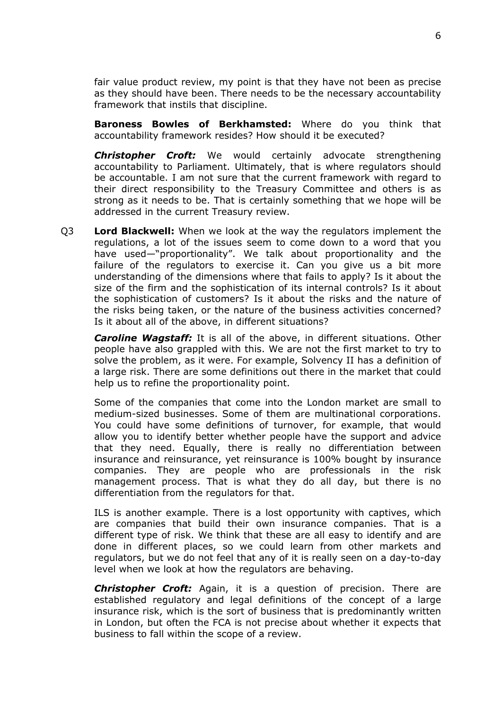fair value product review, my point is that they have not been as precise as they should have been. There needs to be the necessary accountability framework that instils that discipline.

**Baroness Bowles of Berkhamsted:** Where do you think that accountability framework resides? How should it be executed?

*Christopher Croft:* We would certainly advocate strengthening accountability to Parliament. Ultimately, that is where regulators should be accountable. I am not sure that the current framework with regard to their direct responsibility to the Treasury Committee and others is as strong as it needs to be. That is certainly something that we hope will be addressed in the current Treasury review.

Q3 **Lord Blackwell:** When we look at the way the regulators implement the regulations, a lot of the issues seem to come down to a word that you have used—"proportionality". We talk about proportionality and the failure of the regulators to exercise it. Can you give us a bit more understanding of the dimensions where that fails to apply? Is it about the size of the firm and the sophistication of its internal controls? Is it about the sophistication of customers? Is it about the risks and the nature of the risks being taken, or the nature of the business activities concerned? Is it about all of the above, in different situations?

*Caroline Wagstaff:* It is all of the above, in different situations. Other people have also grappled with this. We are not the first market to try to solve the problem, as it were. For example, Solvency II has a definition of a large risk. There are some definitions out there in the market that could help us to refine the proportionality point.

Some of the companies that come into the London market are small to medium-sized businesses. Some of them are multinational corporations. You could have some definitions of turnover, for example, that would allow you to identify better whether people have the support and advice that they need. Equally, there is really no differentiation between insurance and reinsurance, yet reinsurance is 100% bought by insurance companies. They are people who are professionals in the risk management process. That is what they do all day, but there is no differentiation from the regulators for that.

ILS is another example. There is a lost opportunity with captives, which are companies that build their own insurance companies. That is a different type of risk. We think that these are all easy to identify and are done in different places, so we could learn from other markets and regulators, but we do not feel that any of it is really seen on a day-to-day level when we look at how the regulators are behaving.

*Christopher Croft:* Again, it is a question of precision. There are established regulatory and legal definitions of the concept of a large insurance risk, which is the sort of business that is predominantly written in London, but often the FCA is not precise about whether it expects that business to fall within the scope of a review.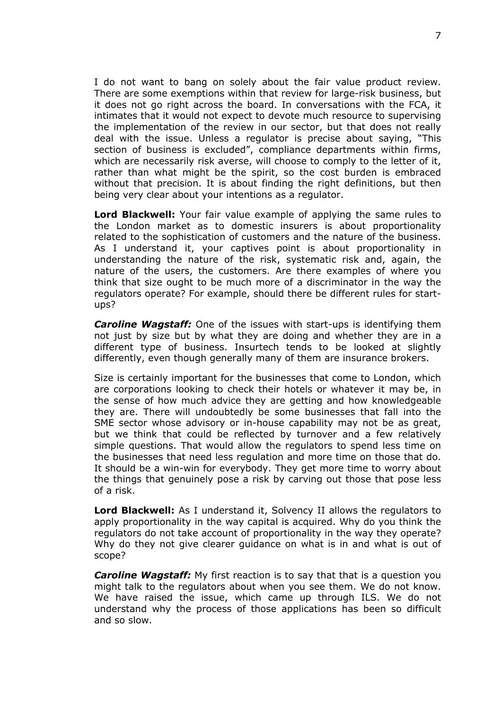I do not want to bang on solely about the fair value product review. There are some exemptions within that review for large-risk business, but it does not go right across the board. In conversations with the FCA, it intimates that it would not expect to devote much resource to supervising the implementation of the review in our sector, but that does not really deal with the issue. Unless a regulator is precise about saying, "This section of business is excluded", compliance departments within firms, which are necessarily risk averse, will choose to comply to the letter of it, rather than what might be the spirit, so the cost burden is embraced without that precision. It is about finding the right definitions, but then being very clear about your intentions as a regulator.

**Lord Blackwell:** Your fair value example of applying the same rules to the London market as to domestic insurers is about proportionality related to the sophistication of customers and the nature of the business. As I understand it, your captives point is about proportionality in understanding the nature of the risk, systematic risk and, again, the nature of the users, the customers. Are there examples of where you think that size ought to be much more of a discriminator in the way the regulators operate? For example, should there be different rules for startups?

*Caroline Wagstaff:* One of the issues with start-ups is identifying them not just by size but by what they are doing and whether they are in a different type of business. Insurtech tends to be looked at slightly differently, even though generally many of them are insurance brokers.

Size is certainly important for the businesses that come to London, which are corporations looking to check their hotels or whatever it may be, in the sense of how much advice they are getting and how knowledgeable they are. There will undoubtedly be some businesses that fall into the SME sector whose advisory or in-house capability may not be as great, but we think that could be reflected by turnover and a few relatively simple questions. That would allow the regulators to spend less time on the businesses that need less regulation and more time on those that do. It should be a win-win for everybody. They get more time to worry about the things that genuinely pose a risk by carving out those that pose less of a risk.

**Lord Blackwell:** As I understand it, Solvency II allows the regulators to apply proportionality in the way capital is acquired. Why do you think the regulators do not take account of proportionality in the way they operate? Why do they not give clearer guidance on what is in and what is out of scope?

*Caroline Wagstaff:* My first reaction is to say that that is a question you might talk to the regulators about when you see them. We do not know. We have raised the issue, which came up through ILS. We do not understand why the process of those applications has been so difficult and so slow.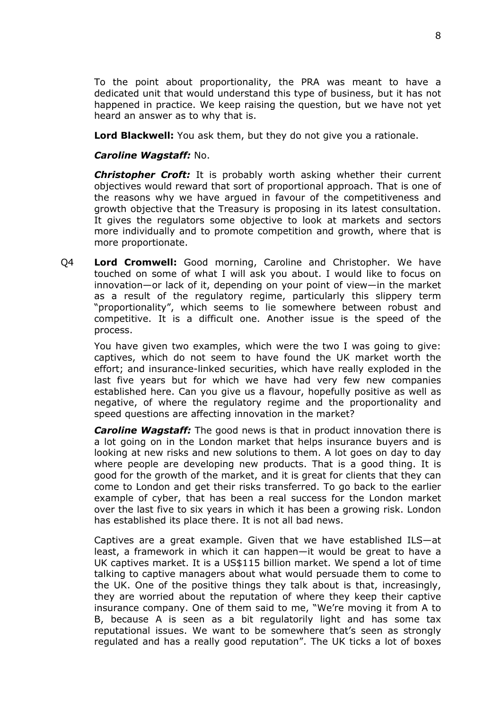To the point about proportionality, the PRA was meant to have a dedicated unit that would understand this type of business, but it has not happened in practice. We keep raising the question, but we have not yet heard an answer as to why that is.

**Lord Blackwell:** You ask them, but they do not give you a rationale.

#### *Caroline Wagstaff:* No.

*Christopher Croft:* It is probably worth asking whether their current objectives would reward that sort of proportional approach. That is one of the reasons why we have argued in favour of the competitiveness and growth objective that the Treasury is proposing in its latest consultation. It gives the regulators some objective to look at markets and sectors more individually and to promote competition and growth, where that is more proportionate.

Q4 **Lord Cromwell:** Good morning, Caroline and Christopher. We have touched on some of what I will ask you about. I would like to focus on innovation—or lack of it, depending on your point of view—in the market as a result of the regulatory regime, particularly this slippery term "proportionality", which seems to lie somewhere between robust and competitive. It is a difficult one. Another issue is the speed of the process.

You have given two examples, which were the two I was going to give: captives, which do not seem to have found the UK market worth the effort; and insurance-linked securities, which have really exploded in the last five years but for which we have had very few new companies established here. Can you give us a flavour, hopefully positive as well as negative, of where the regulatory regime and the proportionality and speed questions are affecting innovation in the market?

*Caroline Wagstaff:* The good news is that in product innovation there is a lot going on in the London market that helps insurance buyers and is looking at new risks and new solutions to them. A lot goes on day to day where people are developing new products. That is a good thing. It is good for the growth of the market, and it is great for clients that they can come to London and get their risks transferred. To go back to the earlier example of cyber, that has been a real success for the London market over the last five to six years in which it has been a growing risk. London has established its place there. It is not all bad news.

Captives are a great example. Given that we have established ILS—at least, a framework in which it can happen—it would be great to have a UK captives market. It is a US\$115 billion market. We spend a lot of time talking to captive managers about what would persuade them to come to the UK. One of the positive things they talk about is that, increasingly, they are worried about the reputation of where they keep their captive insurance company. One of them said to me, "We're moving it from A to B, because A is seen as a bit regulatorily light and has some tax reputational issues. We want to be somewhere that's seen as strongly regulated and has a really good reputation". The UK ticks a lot of boxes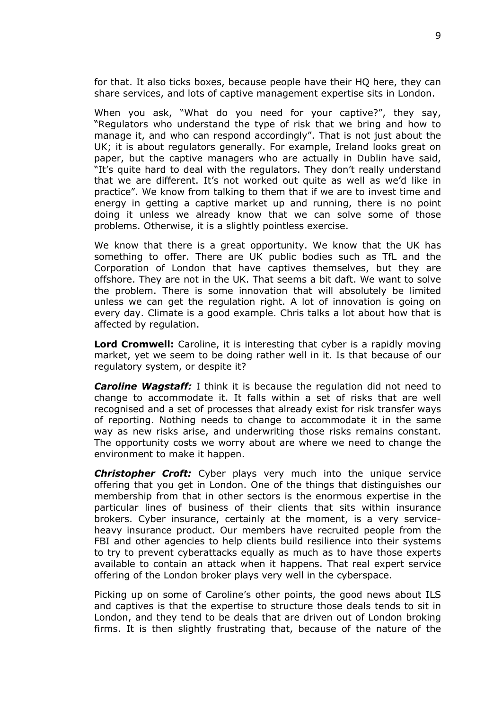for that. It also ticks boxes, because people have their HQ here, they can share services, and lots of captive management expertise sits in London.

When you ask, "What do you need for your captive?", they say, "Regulators who understand the type of risk that we bring and how to manage it, and who can respond accordingly". That is not just about the UK; it is about regulators generally. For example, Ireland looks great on paper, but the captive managers who are actually in Dublin have said, "It's quite hard to deal with the regulators. They don't really understand that we are different. It's not worked out quite as well as we'd like in practice". We know from talking to them that if we are to invest time and energy in getting a captive market up and running, there is no point doing it unless we already know that we can solve some of those problems. Otherwise, it is a slightly pointless exercise.

We know that there is a great opportunity. We know that the UK has something to offer. There are UK public bodies such as TfL and the Corporation of London that have captives themselves, but they are offshore. They are not in the UK. That seems a bit daft. We want to solve the problem. There is some innovation that will absolutely be limited unless we can get the regulation right. A lot of innovation is going on every day. Climate is a good example. Chris talks a lot about how that is affected by regulation.

**Lord Cromwell:** Caroline, it is interesting that cyber is a rapidly moving market, yet we seem to be doing rather well in it. Is that because of our regulatory system, or despite it?

*Caroline Wagstaff:* I think it is because the regulation did not need to change to accommodate it. It falls within a set of risks that are well recognised and a set of processes that already exist for risk transfer ways of reporting. Nothing needs to change to accommodate it in the same way as new risks arise, and underwriting those risks remains constant. The opportunity costs we worry about are where we need to change the environment to make it happen.

*Christopher Croft:* Cyber plays very much into the unique service offering that you get in London. One of the things that distinguishes our membership from that in other sectors is the enormous expertise in the particular lines of business of their clients that sits within insurance brokers. Cyber insurance, certainly at the moment, is a very serviceheavy insurance product. Our members have recruited people from the FBI and other agencies to help clients build resilience into their systems to try to prevent cyberattacks equally as much as to have those experts available to contain an attack when it happens. That real expert service offering of the London broker plays very well in the cyberspace.

Picking up on some of Caroline's other points, the good news about ILS and captives is that the expertise to structure those deals tends to sit in London, and they tend to be deals that are driven out of London broking firms. It is then slightly frustrating that, because of the nature of the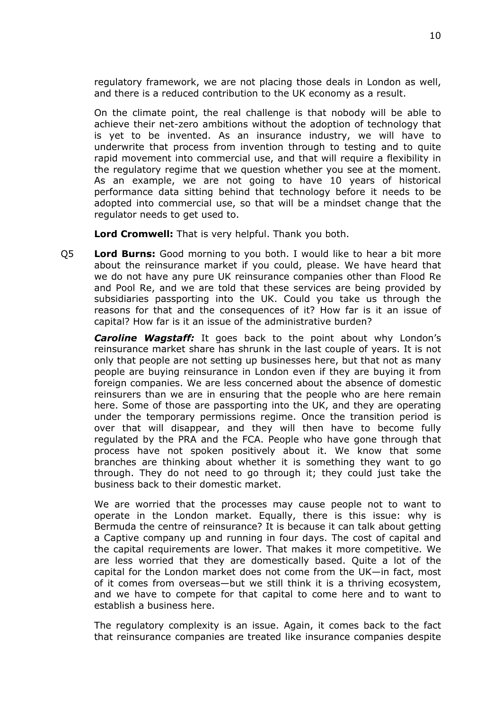regulatory framework, we are not placing those deals in London as well, and there is a reduced contribution to the UK economy as a result.

On the climate point, the real challenge is that nobody will be able to achieve their net-zero ambitions without the adoption of technology that is yet to be invented. As an insurance industry, we will have to underwrite that process from invention through to testing and to quite rapid movement into commercial use, and that will require a flexibility in the regulatory regime that we question whether you see at the moment. As an example, we are not going to have 10 years of historical performance data sitting behind that technology before it needs to be adopted into commercial use, so that will be a mindset change that the regulator needs to get used to.

**Lord Cromwell:** That is very helpful. Thank you both.

Q5 **Lord Burns:** Good morning to you both. I would like to hear a bit more about the reinsurance market if you could, please. We have heard that we do not have any pure UK reinsurance companies other than Flood Re and Pool Re, and we are told that these services are being provided by subsidiaries passporting into the UK. Could you take us through the reasons for that and the consequences of it? How far is it an issue of capital? How far is it an issue of the administrative burden?

*Caroline Wagstaff:* It goes back to the point about why London's reinsurance market share has shrunk in the last couple of years. It is not only that people are not setting up businesses here, but that not as many people are buying reinsurance in London even if they are buying it from foreign companies. We are less concerned about the absence of domestic reinsurers than we are in ensuring that the people who are here remain here. Some of those are passporting into the UK, and they are operating under the temporary permissions regime. Once the transition period is over that will disappear, and they will then have to become fully regulated by the PRA and the FCA. People who have gone through that process have not spoken positively about it. We know that some branches are thinking about whether it is something they want to go through. They do not need to go through it; they could just take the business back to their domestic market.

We are worried that the processes may cause people not to want to operate in the London market. Equally, there is this issue: why is Bermuda the centre of reinsurance? It is because it can talk about getting a Captive company up and running in four days. The cost of capital and the capital requirements are lower. That makes it more competitive. We are less worried that they are domestically based. Quite a lot of the capital for the London market does not come from the UK—in fact, most of it comes from overseas—but we still think it is a thriving ecosystem, and we have to compete for that capital to come here and to want to establish a business here.

The regulatory complexity is an issue. Again, it comes back to the fact that reinsurance companies are treated like insurance companies despite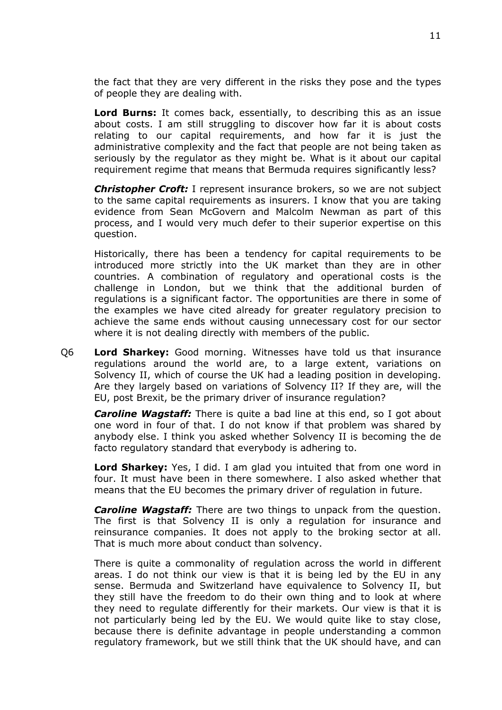the fact that they are very different in the risks they pose and the types of people they are dealing with.

**Lord Burns:** It comes back, essentially, to describing this as an issue about costs. I am still struggling to discover how far it is about costs relating to our capital requirements, and how far it is just the administrative complexity and the fact that people are not being taken as seriously by the regulator as they might be. What is it about our capital requirement regime that means that Bermuda requires significantly less?

*Christopher Croft:* I represent insurance brokers, so we are not subject to the same capital requirements as insurers. I know that you are taking evidence from Sean McGovern and Malcolm Newman as part of this process, and I would very much defer to their superior expertise on this question.

Historically, there has been a tendency for capital requirements to be introduced more strictly into the UK market than they are in other countries. A combination of regulatory and operational costs is the challenge in London, but we think that the additional burden of regulations is a significant factor. The opportunities are there in some of the examples we have cited already for greater regulatory precision to achieve the same ends without causing unnecessary cost for our sector where it is not dealing directly with members of the public.

Q6 **Lord Sharkey:** Good morning. Witnesses have told us that insurance regulations around the world are, to a large extent, variations on Solvency II, which of course the UK had a leading position in developing. Are they largely based on variations of Solvency II? If they are, will the EU, post Brexit, be the primary driver of insurance regulation?

*Caroline Wagstaff:* There is quite a bad line at this end, so I got about one word in four of that. I do not know if that problem was shared by anybody else. I think you asked whether Solvency II is becoming the de facto regulatory standard that everybody is adhering to.

**Lord Sharkey:** Yes, I did. I am glad you intuited that from one word in four. It must have been in there somewhere. I also asked whether that means that the EU becomes the primary driver of regulation in future.

*Caroline Wagstaff:* There are two things to unpack from the question. The first is that Solvency II is only a regulation for insurance and reinsurance companies. It does not apply to the broking sector at all. That is much more about conduct than solvency.

There is quite a commonality of regulation across the world in different areas. I do not think our view is that it is being led by the EU in any sense. Bermuda and Switzerland have equivalence to Solvency II, but they still have the freedom to do their own thing and to look at where they need to regulate differently for their markets. Our view is that it is not particularly being led by the EU. We would quite like to stay close, because there is definite advantage in people understanding a common regulatory framework, but we still think that the UK should have, and can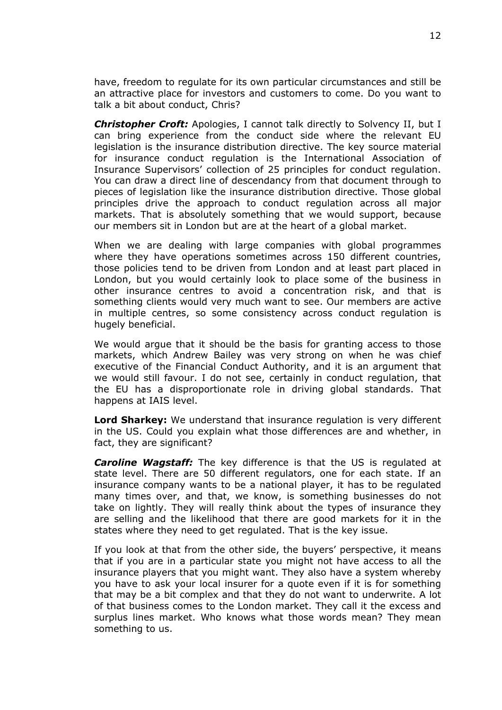have, freedom to regulate for its own particular circumstances and still be an attractive place for investors and customers to come. Do you want to talk a bit about conduct, Chris?

*Christopher Croft:* Apologies, I cannot talk directly to Solvency II, but I can bring experience from the conduct side where the relevant EU legislation is the insurance distribution directive. The key source material for insurance conduct regulation is the International Association of Insurance Supervisors' collection of 25 principles for conduct regulation. You can draw a direct line of descendancy from that document through to pieces of legislation like the insurance distribution directive. Those global principles drive the approach to conduct regulation across all major markets. That is absolutely something that we would support, because our members sit in London but are at the heart of a global market.

When we are dealing with large companies with global programmes where they have operations sometimes across 150 different countries, those policies tend to be driven from London and at least part placed in London, but you would certainly look to place some of the business in other insurance centres to avoid a concentration risk, and that is something clients would very much want to see. Our members are active in multiple centres, so some consistency across conduct regulation is hugely beneficial.

We would argue that it should be the basis for granting access to those markets, which Andrew Bailey was very strong on when he was chief executive of the Financial Conduct Authority, and it is an argument that we would still favour. I do not see, certainly in conduct regulation, that the EU has a disproportionate role in driving global standards. That happens at IAIS level.

**Lord Sharkey:** We understand that insurance regulation is very different in the US. Could you explain what those differences are and whether, in fact, they are significant?

*Caroline Wagstaff:* The key difference is that the US is regulated at state level. There are 50 different regulators, one for each state. If an insurance company wants to be a national player, it has to be regulated many times over, and that, we know, is something businesses do not take on lightly. They will really think about the types of insurance they are selling and the likelihood that there are good markets for it in the states where they need to get regulated. That is the key issue.

If you look at that from the other side, the buyers' perspective, it means that if you are in a particular state you might not have access to all the insurance players that you might want. They also have a system whereby you have to ask your local insurer for a quote even if it is for something that may be a bit complex and that they do not want to underwrite. A lot of that business comes to the London market. They call it the excess and surplus lines market. Who knows what those words mean? They mean something to us.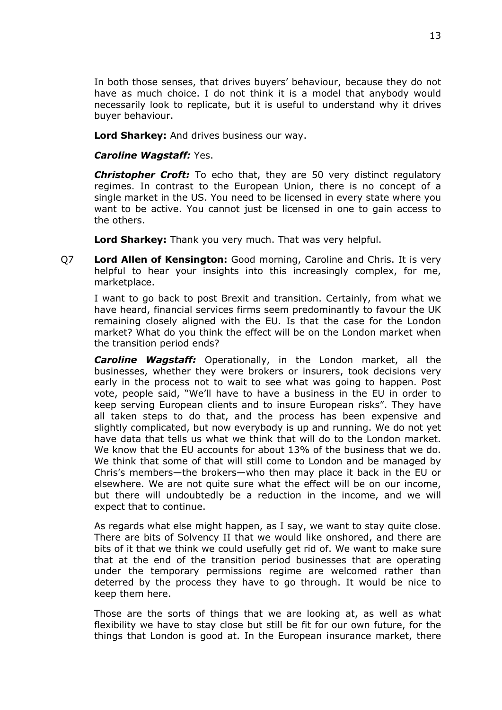In both those senses, that drives buyers' behaviour, because they do not have as much choice. I do not think it is a model that anybody would necessarily look to replicate, but it is useful to understand why it drives buyer behaviour.

**Lord Sharkey:** And drives business our way.

#### *Caroline Wagstaff:* Yes.

**Christopher Croft:** To echo that, they are 50 very distinct regulatory regimes. In contrast to the European Union, there is no concept of a single market in the US. You need to be licensed in every state where you want to be active. You cannot just be licensed in one to gain access to the others.

**Lord Sharkey:** Thank you very much. That was very helpful.

Q7 **Lord Allen of Kensington:** Good morning, Caroline and Chris. It is very helpful to hear your insights into this increasingly complex, for me, marketplace.

I want to go back to post Brexit and transition. Certainly, from what we have heard, financial services firms seem predominantly to favour the UK remaining closely aligned with the EU. Is that the case for the London market? What do you think the effect will be on the London market when the transition period ends?

*Caroline Wagstaff:* Operationally, in the London market, all the businesses, whether they were brokers or insurers, took decisions very early in the process not to wait to see what was going to happen. Post vote, people said, "We'll have to have a business in the EU in order to keep serving European clients and to insure European risks". They have all taken steps to do that, and the process has been expensive and slightly complicated, but now everybody is up and running. We do not yet have data that tells us what we think that will do to the London market. We know that the EU accounts for about 13% of the business that we do. We think that some of that will still come to London and be managed by Chris's members—the brokers—who then may place it back in the EU or elsewhere. We are not quite sure what the effect will be on our income, but there will undoubtedly be a reduction in the income, and we will expect that to continue.

As regards what else might happen, as I say, we want to stay quite close. There are bits of Solvency II that we would like onshored, and there are bits of it that we think we could usefully get rid of. We want to make sure that at the end of the transition period businesses that are operating under the temporary permissions regime are welcomed rather than deterred by the process they have to go through. It would be nice to keep them here.

Those are the sorts of things that we are looking at, as well as what flexibility we have to stay close but still be fit for our own future, for the things that London is good at. In the European insurance market, there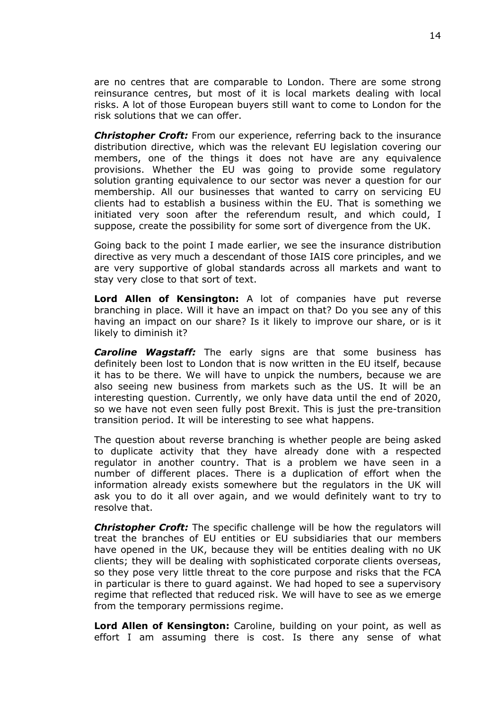are no centres that are comparable to London. There are some strong reinsurance centres, but most of it is local markets dealing with local risks. A lot of those European buyers still want to come to London for the risk solutions that we can offer.

*Christopher Croft:* From our experience, referring back to the insurance distribution directive, which was the relevant EU legislation covering our members, one of the things it does not have are any equivalence provisions. Whether the EU was going to provide some regulatory solution granting equivalence to our sector was never a question for our membership. All our businesses that wanted to carry on servicing EU clients had to establish a business within the EU. That is something we initiated very soon after the referendum result, and which could, I suppose, create the possibility for some sort of divergence from the UK.

Going back to the point I made earlier, we see the insurance distribution directive as very much a descendant of those IAIS core principles, and we are very supportive of global standards across all markets and want to stay very close to that sort of text.

**Lord Allen of Kensington:** A lot of companies have put reverse branching in place. Will it have an impact on that? Do you see any of this having an impact on our share? Is it likely to improve our share, or is it likely to diminish it?

*Caroline Wagstaff:* The early signs are that some business has definitely been lost to London that is now written in the EU itself, because it has to be there. We will have to unpick the numbers, because we are also seeing new business from markets such as the US. It will be an interesting question. Currently, we only have data until the end of 2020, so we have not even seen fully post Brexit. This is just the pre-transition transition period. It will be interesting to see what happens.

The question about reverse branching is whether people are being asked to duplicate activity that they have already done with a respected regulator in another country. That is a problem we have seen in a number of different places. There is a duplication of effort when the information already exists somewhere but the regulators in the UK will ask you to do it all over again, and we would definitely want to try to resolve that.

*Christopher Croft:* The specific challenge will be how the regulators will treat the branches of EU entities or EU subsidiaries that our members have opened in the UK, because they will be entities dealing with no UK clients; they will be dealing with sophisticated corporate clients overseas, so they pose very little threat to the core purpose and risks that the FCA in particular is there to guard against. We had hoped to see a supervisory regime that reflected that reduced risk. We will have to see as we emerge from the temporary permissions regime.

**Lord Allen of Kensington:** Caroline, building on your point, as well as effort I am assuming there is cost. Is there any sense of what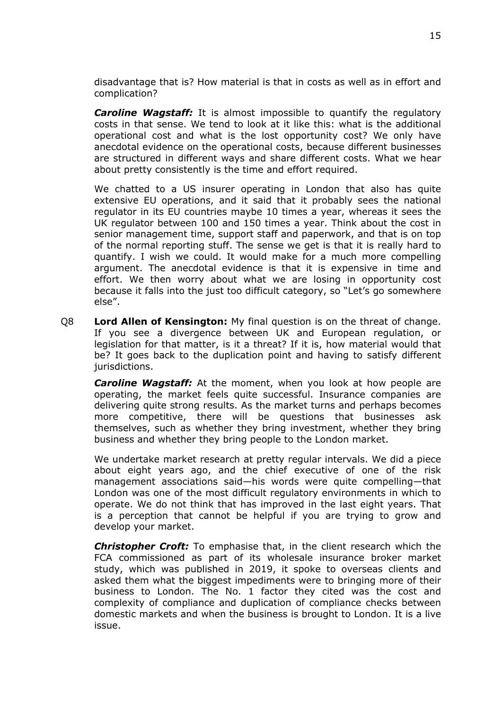disadvantage that is? How material is that in costs as well as in effort and complication?

*Caroline Wagstaff:* It is almost impossible to quantify the regulatory costs in that sense. We tend to look at it like this: what is the additional operational cost and what is the lost opportunity cost? We only have anecdotal evidence on the operational costs, because different businesses are structured in different ways and share different costs. What we hear about pretty consistently is the time and effort required.

We chatted to a US insurer operating in London that also has quite extensive EU operations, and it said that it probably sees the national regulator in its EU countries maybe 10 times a year, whereas it sees the UK regulator between 100 and 150 times a year. Think about the cost in senior management time, support staff and paperwork, and that is on top of the normal reporting stuff. The sense we get is that it is really hard to quantify. I wish we could. It would make for a much more compelling argument. The anecdotal evidence is that it is expensive in time and effort. We then worry about what we are losing in opportunity cost because it falls into the just too difficult category, so "Let's go somewhere else".

Q8 **Lord Allen of Kensington:** My final question is on the threat of change. If you see a divergence between UK and European regulation, or legislation for that matter, is it a threat? If it is, how material would that be? It goes back to the duplication point and having to satisfy different jurisdictions.

*Caroline Wagstaff:* At the moment, when you look at how people are operating, the market feels quite successful. Insurance companies are delivering quite strong results. As the market turns and perhaps becomes more competitive, there will be questions that businesses ask themselves, such as whether they bring investment, whether they bring business and whether they bring people to the London market.

We undertake market research at pretty regular intervals. We did a piece about eight years ago, and the chief executive of one of the risk management associations said—his words were quite compelling—that London was one of the most difficult regulatory environments in which to operate. We do not think that has improved in the last eight years. That is a perception that cannot be helpful if you are trying to grow and develop your market.

*Christopher Croft:* To emphasise that, in the client research which the FCA commissioned as part of its wholesale insurance broker market study, which was published in 2019, it spoke to overseas clients and asked them what the biggest impediments were to bringing more of their business to London. The No. 1 factor they cited was the cost and complexity of compliance and duplication of compliance checks between domestic markets and when the business is brought to London. It is a live issue.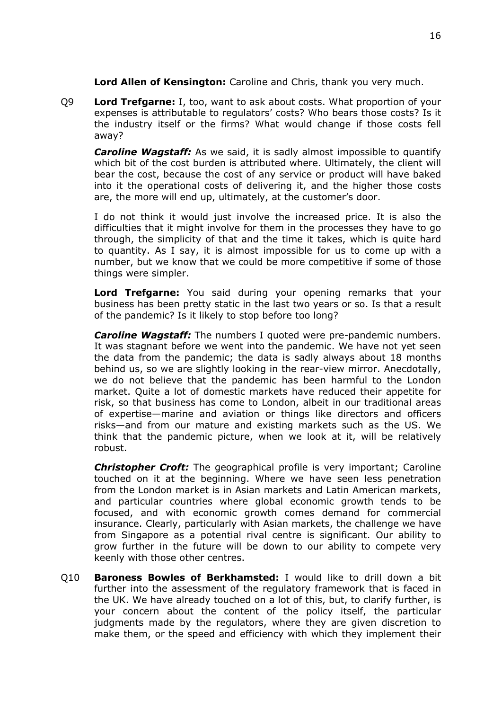**Lord Allen of Kensington:** Caroline and Chris, thank you very much.

Q9 **Lord Trefgarne:** I, too, want to ask about costs. What proportion of your expenses is attributable to regulators' costs? Who bears those costs? Is it the industry itself or the firms? What would change if those costs fell away?

*Caroline Wagstaff:* As we said, it is sadly almost impossible to quantify which bit of the cost burden is attributed where. Ultimately, the client will bear the cost, because the cost of any service or product will have baked into it the operational costs of delivering it, and the higher those costs are, the more will end up, ultimately, at the customer's door.

I do not think it would just involve the increased price. It is also the difficulties that it might involve for them in the processes they have to go through, the simplicity of that and the time it takes, which is quite hard to quantity. As I say, it is almost impossible for us to come up with a number, but we know that we could be more competitive if some of those things were simpler.

**Lord Trefgarne:** You said during your opening remarks that your business has been pretty static in the last two years or so. Is that a result of the pandemic? Is it likely to stop before too long?

*Caroline Wagstaff:* The numbers I quoted were pre-pandemic numbers. It was stagnant before we went into the pandemic. We have not yet seen the data from the pandemic; the data is sadly always about 18 months behind us, so we are slightly looking in the rear-view mirror. Anecdotally, we do not believe that the pandemic has been harmful to the London market. Quite a lot of domestic markets have reduced their appetite for risk, so that business has come to London, albeit in our traditional areas of expertise—marine and aviation or things like directors and officers risks—and from our mature and existing markets such as the US. We think that the pandemic picture, when we look at it, will be relatively robust.

*Christopher Croft:* The geographical profile is very important; Caroline touched on it at the beginning. Where we have seen less penetration from the London market is in Asian markets and Latin American markets, and particular countries where global economic growth tends to be focused, and with economic growth comes demand for commercial insurance. Clearly, particularly with Asian markets, the challenge we have from Singapore as a potential rival centre is significant. Our ability to grow further in the future will be down to our ability to compete very keenly with those other centres.

Q10 **Baroness Bowles of Berkhamsted:** I would like to drill down a bit further into the assessment of the regulatory framework that is faced in the UK. We have already touched on a lot of this, but, to clarify further, is your concern about the content of the policy itself, the particular judgments made by the regulators, where they are given discretion to make them, or the speed and efficiency with which they implement their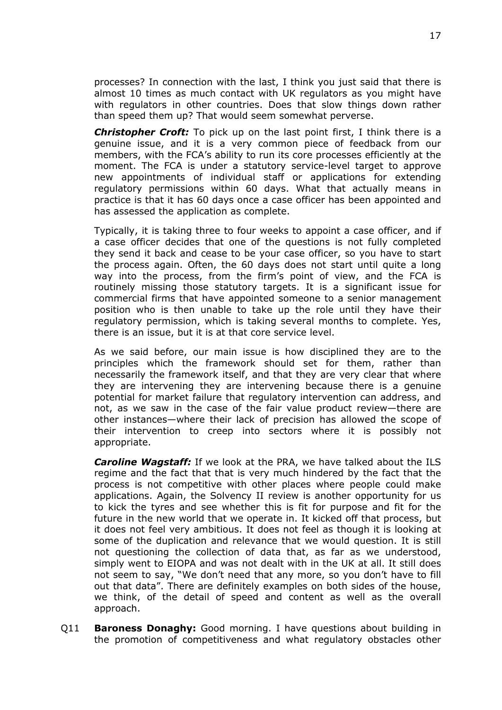processes? In connection with the last, I think you just said that there is almost 10 times as much contact with UK regulators as you might have with regulators in other countries. Does that slow things down rather than speed them up? That would seem somewhat perverse.

*Christopher Croft:* To pick up on the last point first, I think there is a genuine issue, and it is a very common piece of feedback from our members, with the FCA's ability to run its core processes efficiently at the moment. The FCA is under a statutory service-level target to approve new appointments of individual staff or applications for extending regulatory permissions within 60 days. What that actually means in practice is that it has 60 days once a case officer has been appointed and has assessed the application as complete.

Typically, it is taking three to four weeks to appoint a case officer, and if a case officer decides that one of the questions is not fully completed they send it back and cease to be your case officer, so you have to start the process again. Often, the 60 days does not start until quite a long way into the process, from the firm's point of view, and the FCA is routinely missing those statutory targets. It is a significant issue for commercial firms that have appointed someone to a senior management position who is then unable to take up the role until they have their regulatory permission, which is taking several months to complete. Yes, there is an issue, but it is at that core service level.

As we said before, our main issue is how disciplined they are to the principles which the framework should set for them, rather than necessarily the framework itself, and that they are very clear that where they are intervening they are intervening because there is a genuine potential for market failure that regulatory intervention can address, and not, as we saw in the case of the fair value product review—there are other instances—where their lack of precision has allowed the scope of their intervention to creep into sectors where it is possibly not appropriate.

*Caroline Wagstaff:* If we look at the PRA, we have talked about the ILS regime and the fact that that is very much hindered by the fact that the process is not competitive with other places where people could make applications. Again, the Solvency II review is another opportunity for us to kick the tyres and see whether this is fit for purpose and fit for the future in the new world that we operate in. It kicked off that process, but it does not feel very ambitious. It does not feel as though it is looking at some of the duplication and relevance that we would question. It is still not questioning the collection of data that, as far as we understood, simply went to EIOPA and was not dealt with in the UK at all. It still does not seem to say, "We don't need that any more, so you don't have to fill out that data". There are definitely examples on both sides of the house, we think, of the detail of speed and content as well as the overall approach.

Q11 **Baroness Donaghy:** Good morning. I have questions about building in the promotion of competitiveness and what regulatory obstacles other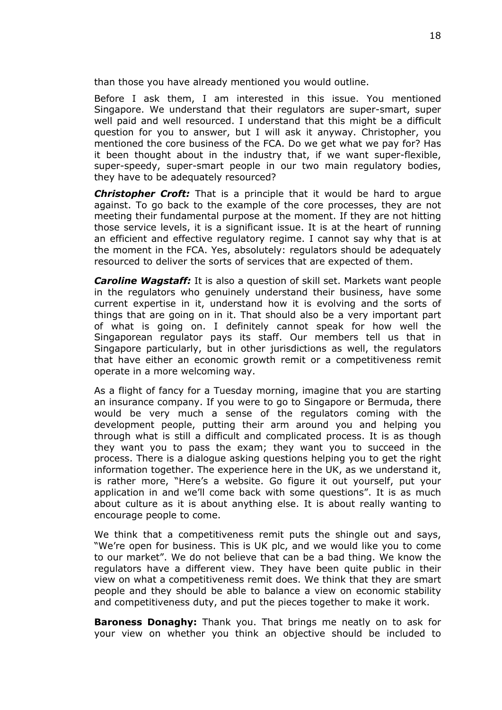than those you have already mentioned you would outline.

Before I ask them, I am interested in this issue. You mentioned Singapore. We understand that their regulators are super-smart, super well paid and well resourced. I understand that this might be a difficult question for you to answer, but I will ask it anyway. Christopher, you mentioned the core business of the FCA. Do we get what we pay for? Has it been thought about in the industry that, if we want super-flexible, super-speedy, super-smart people in our two main regulatory bodies, they have to be adequately resourced?

*Christopher Croft:* That is a principle that it would be hard to argue against. To go back to the example of the core processes, they are not meeting their fundamental purpose at the moment. If they are not hitting those service levels, it is a significant issue. It is at the heart of running an efficient and effective regulatory regime. I cannot say why that is at the moment in the FCA. Yes, absolutely: regulators should be adequately resourced to deliver the sorts of services that are expected of them.

*Caroline Wagstaff:* It is also a question of skill set. Markets want people in the regulators who genuinely understand their business, have some current expertise in it, understand how it is evolving and the sorts of things that are going on in it. That should also be a very important part of what is going on. I definitely cannot speak for how well the Singaporean regulator pays its staff. Our members tell us that in Singapore particularly, but in other jurisdictions as well, the regulators that have either an economic growth remit or a competitiveness remit operate in a more welcoming way.

As a flight of fancy for a Tuesday morning, imagine that you are starting an insurance company. If you were to go to Singapore or Bermuda, there would be very much a sense of the regulators coming with the development people, putting their arm around you and helping you through what is still a difficult and complicated process. It is as though they want you to pass the exam; they want you to succeed in the process. There is a dialogue asking questions helping you to get the right information together. The experience here in the UK, as we understand it, is rather more, "Here's a website. Go figure it out yourself, put your application in and we'll come back with some questions". It is as much about culture as it is about anything else. It is about really wanting to encourage people to come.

We think that a competitiveness remit puts the shingle out and says, "We're open for business. This is UK plc, and we would like you to come to our market". We do not believe that can be a bad thing. We know the regulators have a different view. They have been quite public in their view on what a competitiveness remit does. We think that they are smart people and they should be able to balance a view on economic stability and competitiveness duty, and put the pieces together to make it work.

**Baroness Donaghy:** Thank you. That brings me neatly on to ask for your view on whether you think an objective should be included to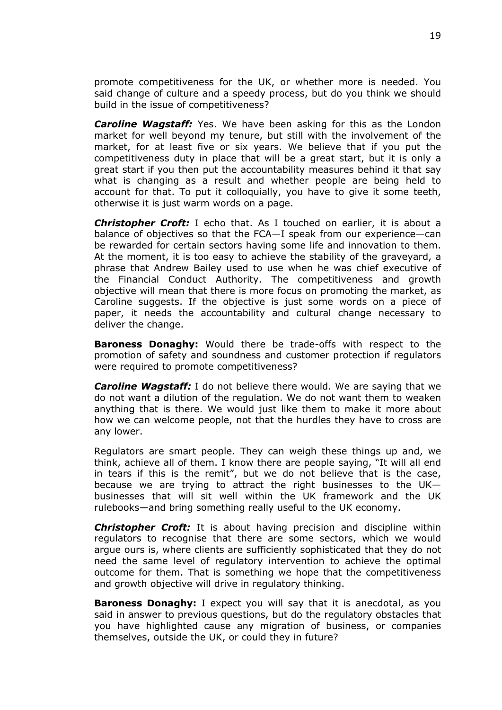promote competitiveness for the UK, or whether more is needed. You said change of culture and a speedy process, but do you think we should build in the issue of competitiveness?

*Caroline Wagstaff:* Yes. We have been asking for this as the London market for well beyond my tenure, but still with the involvement of the market, for at least five or six years. We believe that if you put the competitiveness duty in place that will be a great start, but it is only a great start if you then put the accountability measures behind it that say what is changing as a result and whether people are being held to account for that. To put it colloquially, you have to give it some teeth, otherwise it is just warm words on a page.

*Christopher Croft:* I echo that. As I touched on earlier, it is about a balance of objectives so that the FCA—I speak from our experience—can be rewarded for certain sectors having some life and innovation to them. At the moment, it is too easy to achieve the stability of the graveyard, a phrase that Andrew Bailey used to use when he was chief executive of the Financial Conduct Authority. The competitiveness and growth objective will mean that there is more focus on promoting the market, as Caroline suggests. If the objective is just some words on a piece of paper, it needs the accountability and cultural change necessary to deliver the change.

**Baroness Donaghy:** Would there be trade-offs with respect to the promotion of safety and soundness and customer protection if regulators were required to promote competitiveness?

*Caroline Wagstaff:* I do not believe there would. We are saying that we do not want a dilution of the regulation. We do not want them to weaken anything that is there. We would just like them to make it more about how we can welcome people, not that the hurdles they have to cross are any lower.

Regulators are smart people. They can weigh these things up and, we think, achieve all of them. I know there are people saying, "It will all end in tears if this is the remit", but we do not believe that is the case, because we are trying to attract the right businesses to the UK businesses that will sit well within the UK framework and the UK rulebooks—and bring something really useful to the UK economy.

*Christopher Croft:* It is about having precision and discipline within regulators to recognise that there are some sectors, which we would argue ours is, where clients are sufficiently sophisticated that they do not need the same level of regulatory intervention to achieve the optimal outcome for them. That is something we hope that the competitiveness and growth objective will drive in regulatory thinking.

**Baroness Donaghy:** I expect you will say that it is anecdotal, as you said in answer to previous questions, but do the regulatory obstacles that you have highlighted cause any migration of business, or companies themselves, outside the UK, or could they in future?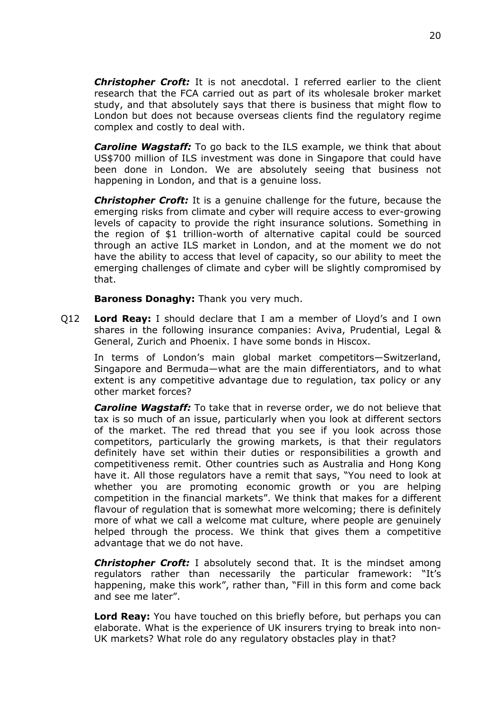*Christopher Croft:* It is not anecdotal. I referred earlier to the client research that the FCA carried out as part of its wholesale broker market study, and that absolutely says that there is business that might flow to London but does not because overseas clients find the regulatory regime complex and costly to deal with.

*Caroline Wagstaff:* To go back to the ILS example, we think that about US\$700 million of ILS investment was done in Singapore that could have been done in London. We are absolutely seeing that business not happening in London, and that is a genuine loss.

*Christopher Croft:* It is a genuine challenge for the future, because the emerging risks from climate and cyber will require access to ever-growing levels of capacity to provide the right insurance solutions. Something in the region of \$1 trillion-worth of alternative capital could be sourced through an active ILS market in London, and at the moment we do not have the ability to access that level of capacity, so our ability to meet the emerging challenges of climate and cyber will be slightly compromised by that.

**Baroness Donaghy:** Thank you very much.

Q12 **Lord Reay:** I should declare that I am a member of Lloyd's and I own shares in the following insurance companies: Aviva, Prudential, Legal & General, Zurich and Phoenix. I have some bonds in Hiscox.

In terms of London's main global market competitors—Switzerland, Singapore and Bermuda—what are the main differentiators, and to what extent is any competitive advantage due to regulation, tax policy or any other market forces?

*Caroline Wagstaff:* To take that in reverse order, we do not believe that tax is so much of an issue, particularly when you look at different sectors of the market. The red thread that you see if you look across those competitors, particularly the growing markets, is that their regulators definitely have set within their duties or responsibilities a growth and competitiveness remit. Other countries such as Australia and Hong Kong have it. All those regulators have a remit that says, "You need to look at whether you are promoting economic growth or you are helping competition in the financial markets". We think that makes for a different flavour of regulation that is somewhat more welcoming; there is definitely more of what we call a welcome mat culture, where people are genuinely helped through the process. We think that gives them a competitive advantage that we do not have.

*Christopher Croft:* I absolutely second that. It is the mindset among regulators rather than necessarily the particular framework: "It's happening, make this work", rather than, "Fill in this form and come back and see me later".

**Lord Reay:** You have touched on this briefly before, but perhaps you can elaborate. What is the experience of UK insurers trying to break into non-UK markets? What role do any regulatory obstacles play in that?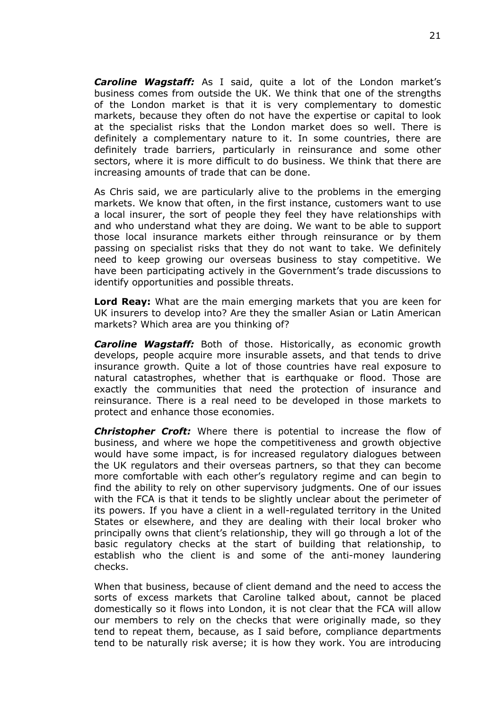*Caroline Wagstaff:* As I said, quite a lot of the London market's business comes from outside the UK. We think that one of the strengths of the London market is that it is very complementary to domestic markets, because they often do not have the expertise or capital to look at the specialist risks that the London market does so well. There is definitely a complementary nature to it. In some countries, there are definitely trade barriers, particularly in reinsurance and some other sectors, where it is more difficult to do business. We think that there are increasing amounts of trade that can be done.

As Chris said, we are particularly alive to the problems in the emerging markets. We know that often, in the first instance, customers want to use a local insurer, the sort of people they feel they have relationships with and who understand what they are doing. We want to be able to support those local insurance markets either through reinsurance or by them passing on specialist risks that they do not want to take. We definitely need to keep growing our overseas business to stay competitive. We have been participating actively in the Government's trade discussions to identify opportunities and possible threats.

**Lord Reay:** What are the main emerging markets that you are keen for UK insurers to develop into? Are they the smaller Asian or Latin American markets? Which area are you thinking of?

*Caroline Wagstaff:* Both of those. Historically, as economic growth develops, people acquire more insurable assets, and that tends to drive insurance growth. Quite a lot of those countries have real exposure to natural catastrophes, whether that is earthquake or flood. Those are exactly the communities that need the protection of insurance and reinsurance. There is a real need to be developed in those markets to protect and enhance those economies.

*Christopher Croft:* Where there is potential to increase the flow of business, and where we hope the competitiveness and growth objective would have some impact, is for increased regulatory dialogues between the UK regulators and their overseas partners, so that they can become more comfortable with each other's regulatory regime and can begin to find the ability to rely on other supervisory judgments. One of our issues with the FCA is that it tends to be slightly unclear about the perimeter of its powers. If you have a client in a well-regulated territory in the United States or elsewhere, and they are dealing with their local broker who principally owns that client's relationship, they will go through a lot of the basic regulatory checks at the start of building that relationship, to establish who the client is and some of the anti-money laundering checks.

When that business, because of client demand and the need to access the sorts of excess markets that Caroline talked about, cannot be placed domestically so it flows into London, it is not clear that the FCA will allow our members to rely on the checks that were originally made, so they tend to repeat them, because, as I said before, compliance departments tend to be naturally risk averse; it is how they work. You are introducing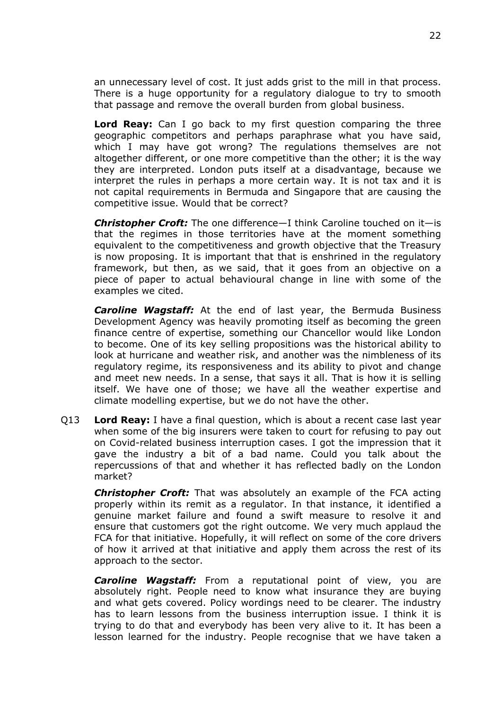an unnecessary level of cost. It just adds grist to the mill in that process. There is a huge opportunity for a regulatory dialogue to try to smooth that passage and remove the overall burden from global business.

**Lord Reay:** Can I go back to my first question comparing the three geographic competitors and perhaps paraphrase what you have said, which I may have got wrong? The regulations themselves are not altogether different, or one more competitive than the other; it is the way they are interpreted. London puts itself at a disadvantage, because we interpret the rules in perhaps a more certain way. It is not tax and it is not capital requirements in Bermuda and Singapore that are causing the competitive issue. Would that be correct?

*Christopher Croft:* The one difference—I think Caroline touched on it—is that the regimes in those territories have at the moment something equivalent to the competitiveness and growth objective that the Treasury is now proposing. It is important that that is enshrined in the regulatory framework, but then, as we said, that it goes from an objective on a piece of paper to actual behavioural change in line with some of the examples we cited.

*Caroline Wagstaff:* At the end of last year, the Bermuda Business Development Agency was heavily promoting itself as becoming the green finance centre of expertise, something our Chancellor would like London to become. One of its key selling propositions was the historical ability to look at hurricane and weather risk, and another was the nimbleness of its regulatory regime, its responsiveness and its ability to pivot and change and meet new needs. In a sense, that says it all. That is how it is selling itself. We have one of those; we have all the weather expertise and climate modelling expertise, but we do not have the other.

Q13 **Lord Reay:** I have a final question, which is about a recent case last year when some of the big insurers were taken to court for refusing to pay out on Covid-related business interruption cases. I got the impression that it gave the industry a bit of a bad name. Could you talk about the repercussions of that and whether it has reflected badly on the London market?

*Christopher Croft:* That was absolutely an example of the FCA acting properly within its remit as a regulator. In that instance, it identified a genuine market failure and found a swift measure to resolve it and ensure that customers got the right outcome. We very much applaud the FCA for that initiative. Hopefully, it will reflect on some of the core drivers of how it arrived at that initiative and apply them across the rest of its approach to the sector.

*Caroline Wagstaff:* From a reputational point of view, you are absolutely right. People need to know what insurance they are buying and what gets covered. Policy wordings need to be clearer. The industry has to learn lessons from the business interruption issue. I think it is trying to do that and everybody has been very alive to it. It has been a lesson learned for the industry. People recognise that we have taken a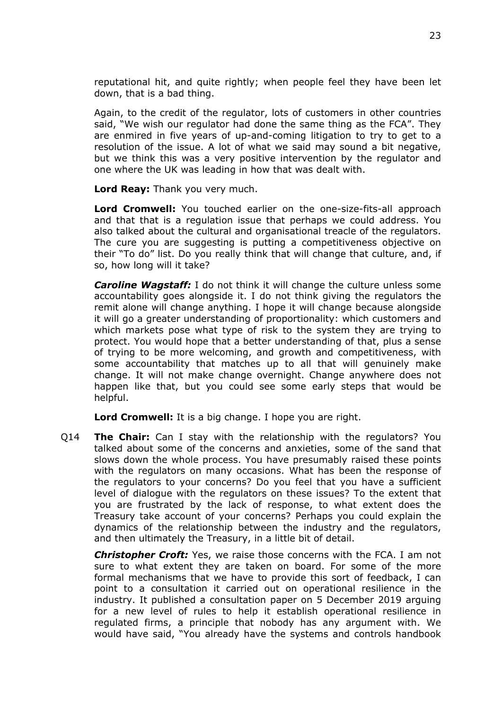reputational hit, and quite rightly; when people feel they have been let down, that is a bad thing.

Again, to the credit of the regulator, lots of customers in other countries said, "We wish our regulator had done the same thing as the FCA". They are enmired in five years of up-and-coming litigation to try to get to a resolution of the issue. A lot of what we said may sound a bit negative, but we think this was a very positive intervention by the regulator and one where the UK was leading in how that was dealt with.

**Lord Reay:** Thank you very much.

**Lord Cromwell:** You touched earlier on the one-size-fits-all approach and that that is a regulation issue that perhaps we could address. You also talked about the cultural and organisational treacle of the regulators. The cure you are suggesting is putting a competitiveness objective on their "To do" list. Do you really think that will change that culture, and, if so, how long will it take?

*Caroline Wagstaff:* I do not think it will change the culture unless some accountability goes alongside it. I do not think giving the regulators the remit alone will change anything. I hope it will change because alongside it will go a greater understanding of proportionality: which customers and which markets pose what type of risk to the system they are trying to protect. You would hope that a better understanding of that, plus a sense of trying to be more welcoming, and growth and competitiveness, with some accountability that matches up to all that will genuinely make change. It will not make change overnight. Change anywhere does not happen like that, but you could see some early steps that would be helpful.

**Lord Cromwell:** It is a big change. I hope you are right.

Q14 **The Chair:** Can I stay with the relationship with the regulators? You talked about some of the concerns and anxieties, some of the sand that slows down the whole process. You have presumably raised these points with the regulators on many occasions. What has been the response of the regulators to your concerns? Do you feel that you have a sufficient level of dialogue with the regulators on these issues? To the extent that you are frustrated by the lack of response, to what extent does the Treasury take account of your concerns? Perhaps you could explain the dynamics of the relationship between the industry and the regulators, and then ultimately the Treasury, in a little bit of detail.

*Christopher Croft:* Yes, we raise those concerns with the FCA. I am not sure to what extent they are taken on board. For some of the more formal mechanisms that we have to provide this sort of feedback, I can point to a consultation it carried out on operational resilience in the industry. It published a consultation paper on 5 December 2019 arguing for a new level of rules to help it establish operational resilience in regulated firms, a principle that nobody has any argument with. We would have said, "You already have the systems and controls handbook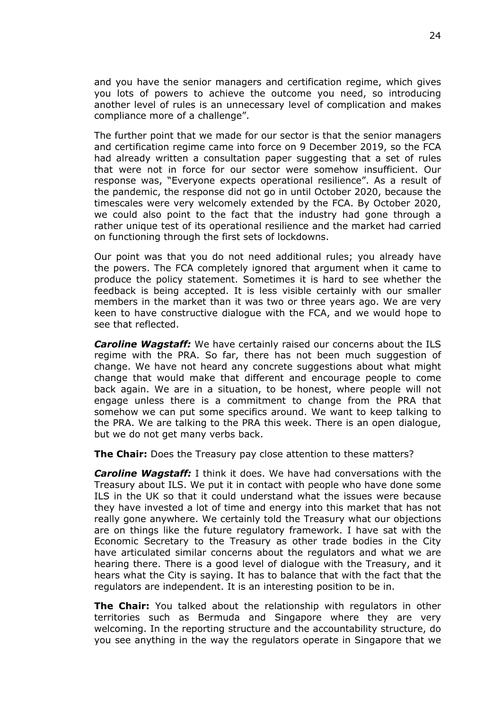and you have the senior managers and certification regime, which gives you lots of powers to achieve the outcome you need, so introducing another level of rules is an unnecessary level of complication and makes compliance more of a challenge".

The further point that we made for our sector is that the senior managers and certification regime came into force on 9 December 2019, so the FCA had already written a consultation paper suggesting that a set of rules that were not in force for our sector were somehow insufficient. Our response was, "Everyone expects operational resilience". As a result of the pandemic, the response did not go in until October 2020, because the timescales were very welcomely extended by the FCA. By October 2020, we could also point to the fact that the industry had gone through a rather unique test of its operational resilience and the market had carried on functioning through the first sets of lockdowns.

Our point was that you do not need additional rules; you already have the powers. The FCA completely ignored that argument when it came to produce the policy statement. Sometimes it is hard to see whether the feedback is being accepted. It is less visible certainly with our smaller members in the market than it was two or three years ago. We are very keen to have constructive dialogue with the FCA, and we would hope to see that reflected.

*Caroline Wagstaff:* We have certainly raised our concerns about the ILS regime with the PRA. So far, there has not been much suggestion of change. We have not heard any concrete suggestions about what might change that would make that different and encourage people to come back again. We are in a situation, to be honest, where people will not engage unless there is a commitment to change from the PRA that somehow we can put some specifics around. We want to keep talking to the PRA. We are talking to the PRA this week. There is an open dialogue, but we do not get many verbs back.

**The Chair:** Does the Treasury pay close attention to these matters?

*Caroline Wagstaff:* I think it does. We have had conversations with the Treasury about ILS. We put it in contact with people who have done some ILS in the UK so that it could understand what the issues were because they have invested a lot of time and energy into this market that has not really gone anywhere. We certainly told the Treasury what our objections are on things like the future regulatory framework. I have sat with the Economic Secretary to the Treasury as other trade bodies in the City have articulated similar concerns about the regulators and what we are hearing there. There is a good level of dialogue with the Treasury, and it hears what the City is saying. It has to balance that with the fact that the regulators are independent. It is an interesting position to be in.

**The Chair:** You talked about the relationship with regulators in other territories such as Bermuda and Singapore where they are very welcoming. In the reporting structure and the accountability structure, do you see anything in the way the regulators operate in Singapore that we